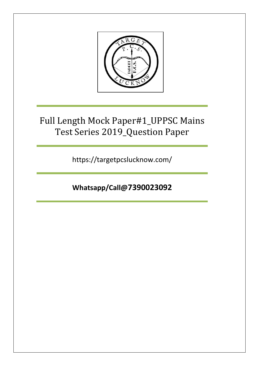

## Full Length Mock Paper#1\_UPPSC Mains Test Series 2019\_Question Paper

https://targetpcslucknow.com/

**Whatsapp/Call@7390023092**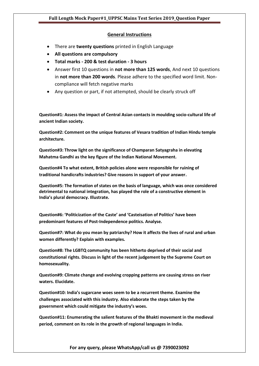## **General Instructions**

- There are **twenty questions** printed in English Language
- **All questions are compulsory**
- **Total marks - 200 & test duration - 3 hours**
- Answer first 10 questions in **not more than 125 words**, And next 10 questions in **not more than 200 words**. Please adhere to the specified word limit. Noncompliance will fetch negative marks
- Any question or part, if not attempted, should be clearly struck off

**Question#1: Assess the impact of Central Asian contacts in moulding socio-cultural life of ancient Indian society.**

**Question#2: Comment on the unique features of Vesara tradition of Indian Hindu temple architecture.** 

**Question#3: Throw light on the significance of Champaran Satyagraha in elevating Mahatma Gandhi as the key figure of the Indian National Movement.** 

**Question#4 To what extent, British policies alone were responsible for ruining of traditional handicrafts industries? Give reasons in support of your answer.** 

**Question#5: The formation of states on the basis of language, which was once considered detrimental to national integration, has played the role of a constructive element in India's plural democracy. Illustrate.** 

**Question#6: 'Politicization of the Caste' and 'Casteisation of Politics' have been predominant features of Post-Independence politics. Analyse.**

**Question#7: What do you mean by patriarchy? How it affects the lives of rural and urban women differently? Explain with examples.**

**Question#8: The LGBTQ community has been hitherto deprived of their social and constitutional rights. Discuss in light of the recent judgement by the Supreme Court on homosexuality.**

**Question#9: Climate change and evolving cropping patterns are causing stress on river waters. Elucidate.**

**Question#10: India's sugarcane woes seem to be a recurrent theme. Examine the challenges associated with this industry. Also elaborate the steps taken by the government which could mitigate the industry's woes.**

**Question#11: Enumerating the salient features of the Bhakti movement in the medieval period, comment on its role in the growth of regional languages in India.**

**For any query, please WhatsApp/call us @ 7390023092**